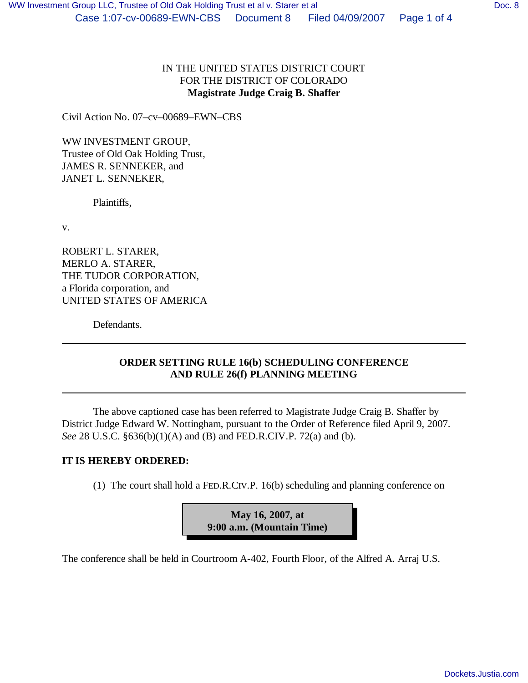## IN THE UNITED STATES DISTRICT COURT FOR THE DISTRICT OF COLORADO **Magistrate Judge Craig B. Shaffer**

Civil Action No. 07–cv–00689–EWN–CBS

WW INVESTMENT GROUP, Trustee of Old Oak Holding Trust, JAMES R. SENNEKER, and JANET L. SENNEKER,

Plaintiffs,

v.

ROBERT L. STARER, MERLO A. STARER, THE TUDOR CORPORATION, a Florida corporation, and UNITED STATES OF AMERICA

Defendants.

## **ORDER SETTING RULE 16(b) SCHEDULING CONFERENCE AND RULE 26(f) PLANNING MEETING**

The above captioned case has been referred to Magistrate Judge Craig B. Shaffer by District Judge Edward W. Nottingham, pursuant to the Order of Reference filed April 9, 2007. *See* 28 U.S.C. §636(b)(1)(A) and (B) and FED.R.CIV.P. 72(a) and (b).

## **IT IS HEREBY ORDERED:**

(1) The court shall hold a FED.R.CIV.P. 16(b) scheduling and planning conference on

**May 16, 2007, at 9:00 a.m. (Mountain Time)**

The conference shall be held in Courtroom A-402, Fourth Floor, of the Alfred A. Arraj U.S.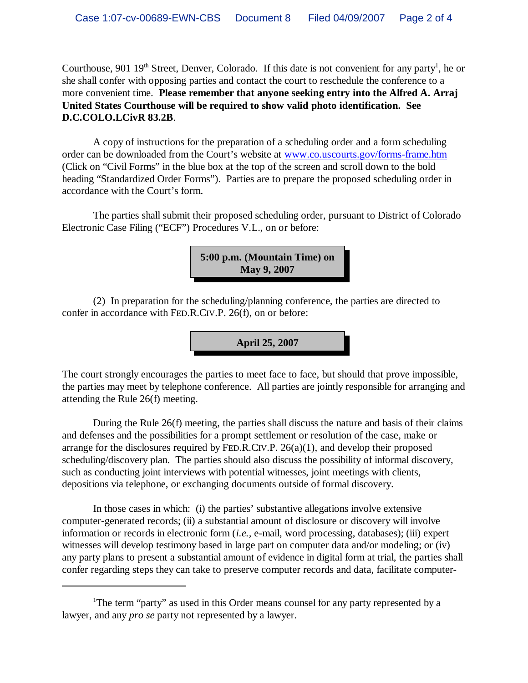Courthouse, 901 19<sup>th</sup> Street, Denver, Colorado. If this date is not convenient for any party<sup>1</sup>, he or she shall confer with opposing parties and contact the court to reschedule the conference to a more convenient time. **Please remember that anyone seeking entry into the Alfred A. Arraj United States Courthouse will be required to show valid photo identification. See D.C.COLO.LCivR 83.2B**.

A copy of instructions for the preparation of a scheduling order and a form scheduling order can be downloaded from the Court's website at www.co.uscourts.gov/forms-frame.htm (Click on "Civil Forms" in the blue box at the top of the screen and scroll down to the bold heading "Standardized Order Forms"). Parties are to prepare the proposed scheduling order in accordance with the Court's form.

The parties shall submit their proposed scheduling order, pursuant to District of Colorado Electronic Case Filing ("ECF") Procedures V.L., on or before:



(2) In preparation for the scheduling/planning conference, the parties are directed to confer in accordance with FED.R.CIV.P. 26(f), on or before:

**April 25, 2007**

The court strongly encourages the parties to meet face to face, but should that prove impossible, the parties may meet by telephone conference. All parties are jointly responsible for arranging and attending the Rule 26(f) meeting.

During the Rule 26(f) meeting, the parties shall discuss the nature and basis of their claims and defenses and the possibilities for a prompt settlement or resolution of the case, make or arrange for the disclosures required by FED.R.CIV.P. 26(a)(1), and develop their proposed scheduling/discovery plan. The parties should also discuss the possibility of informal discovery, such as conducting joint interviews with potential witnesses, joint meetings with clients, depositions via telephone, or exchanging documents outside of formal discovery.

In those cases in which: (i) the parties' substantive allegations involve extensive computer-generated records; (ii) a substantial amount of disclosure or discovery will involve information or records in electronic form (*i.e.,* e-mail, word processing, databases); (iii) expert witnesses will develop testimony based in large part on computer data and/or modeling; or (iv) any party plans to present a substantial amount of evidence in digital form at trial, the parties shall confer regarding steps they can take to preserve computer records and data, facilitate computer-

<sup>&</sup>lt;sup>1</sup>The term "party" as used in this Order means counsel for any party represented by a lawyer, and any *pro se* party not represented by a lawyer.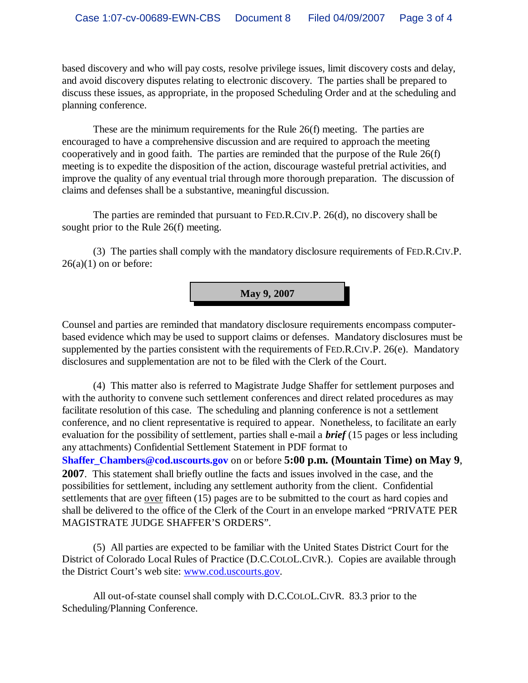based discovery and who will pay costs, resolve privilege issues, limit discovery costs and delay, and avoid discovery disputes relating to electronic discovery. The parties shall be prepared to discuss these issues, as appropriate, in the proposed Scheduling Order and at the scheduling and planning conference.

These are the minimum requirements for the Rule 26(f) meeting. The parties are encouraged to have a comprehensive discussion and are required to approach the meeting cooperatively and in good faith. The parties are reminded that the purpose of the Rule 26(f) meeting is to expedite the disposition of the action, discourage wasteful pretrial activities, and improve the quality of any eventual trial through more thorough preparation. The discussion of claims and defenses shall be a substantive, meaningful discussion.

The parties are reminded that pursuant to FED.R.CIV.P. 26(d), no discovery shall be sought prior to the Rule 26(f) meeting.

(3) The parties shall comply with the mandatory disclosure requirements of FED.R.CIV.P.  $26(a)(1)$  on or before:



Counsel and parties are reminded that mandatory disclosure requirements encompass computerbased evidence which may be used to support claims or defenses. Mandatory disclosures must be supplemented by the parties consistent with the requirements of FED.R.CIV.P. 26(e). Mandatory disclosures and supplementation are not to be filed with the Clerk of the Court.

(4) This matter also is referred to Magistrate Judge Shaffer for settlement purposes and with the authority to convene such settlement conferences and direct related procedures as may facilitate resolution of this case. The scheduling and planning conference is not a settlement conference, and no client representative is required to appear. Nonetheless, to facilitate an early evaluation for the possibility of settlement, parties shall e-mail a *brief* (15 pages or less including any attachments) Confidential Settlement Statement in PDF format to **Shaffer\_Chambers@cod.uscourts.gov** on or before **5:00 p.m. (Mountain Time) on May 9**, **2007**. This statement shall briefly outline the facts and issues involved in the case, and the possibilities for settlement, including any settlement authority from the client. Confidential settlements that are over fifteen (15) pages are to be submitted to the court as hard copies and shall be delivered to the office of the Clerk of the Court in an envelope marked "PRIVATE PER MAGISTRATE JUDGE SHAFFER'S ORDERS".

(5) All parties are expected to be familiar with the United States District Court for the District of Colorado Local Rules of Practice (D.C.COLOL.CIVR.). Copies are available through the District Court's web site: www.cod.uscourts.gov.

All out-of-state counsel shall comply with D.C.COLOL.CIVR. 83.3 prior to the Scheduling/Planning Conference.